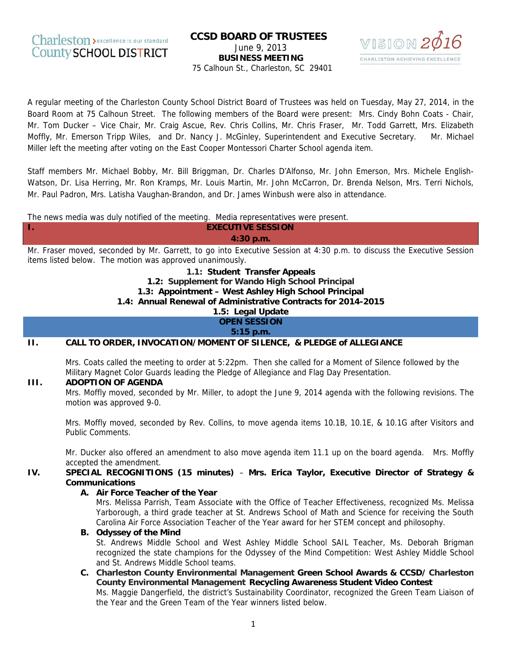# **CCSD BOA ARD OF TR RUSTEES** J June 9, 2013 3 **BUSI INESS MEET TING**  75 Calhoun St., Charleston, SC 29401



75 Calhoun St., Charleston, SC 29401<br>A regular meeting of the Charleston County School District Board of Trustees was held on Tuesday, May 27, 2014, in the A regular meeting of the Charleston County School District Board of Trustees was held on Tuesday, May 27, 2014, in the<br>Board Room at 75 Calhoun Street. The following members of the Board were present: Mrs. Cindy Bohn Coats Mr. Tom Ducker – Vice Chair, Mr. Craig Ascue, Rev. Chris Collins, Mr. Chris Fraser, Mr. Todd Garrett, Mrs. Elizabeth Moffly, Mr. Emerson Tripp Wiles, and Dr. Nancy J. McGinley, Superintendent and Executive Secretary. Miller left the meeting after voting on the East Cooper Montessori Charter School agenda item. Mr. Michael

Staff members Mr. Michael Bobby, Mr. Bill Briggman, Dr. Charles D'Alfonso, Mr. John Emerson, Mrs. Michele English-Watson, Dr. Lisa Herring, Mr. Ron Kramps, Mr. Louis Martin, Mr. John McCarron, Dr. Brenda Nelson, Mrs. Terri Nichols, Mr. Paul Padron, Mrs. Latisha Vaughan-Brandon, and Dr. James Winbush were also in attendance.

The news media was duly notified of the meeting. Media representatives were present.

**EXECUTIVE SESSION 4 :30 p.m.**

Mr. Fraser moved, seconded by Mr. Garrett, to go into Executive Session at 4:30 p.m. to discuss the Executive Session items listed below. The motion was approved unanimously.

#### **1 1.1: Studen t Transfer A Appeals**

1.2: Supplement for Wando High School Principal

1.3: Appointment - West Ashley High School Principal

#### 1.4: Annual Renewal of Administrative Contracts for 2014-2015

**1.5: L Legal Update OPEN SESSION 5 :15 p.m.** 

# **II.** 1.5: Legal Update<br>OPEN SESSION<br>CALL TO ORDER, INVOCATION/MOMENT OF SILENCE, &PLEDGE of ALLEGIANCE

Mrs. Coats called the meeting to order at 5:22pm. Then she called for a Moment of Silence followed by the Military Magnet Color Guards leading the Pledge of Allegiance and Flag Day Presentation.

#### **III. ADOPT ION OF AGE ENDA**

**I.** 

Mrs. Moffly moved, seconded by Mr. Miller, to adopt the June 9, 2014 agenda with the following revisions. The motion was approved 9-0.

Mrs. Moffly moved, seconded by Rev. Collins, to move agenda items 10.1B, 10.1E, & 10.1G after Visitors and Public C omments. e<br>d<br>y

Mr. Ducker also offered an amendment to also move agenda item 11.1 up on the board agenda. Mrs. Moffly accepted the amendment.

#### **IV. SPECIAL RECOGNITIONS (15 minutes) – Mrs. Erica Taylor, Executive Director of Strategy & Commu unications**

#### **A.** Air Force Teacher of the Year

Mrs. Melissa Parrish, Team Associate with the Office of Teacher Effectiveness, recognized Ms. Melissa Yarborough, a third grade teacher at St. Andrews School of Math and Science for receiving the South Carolina Air Force Association Teacher of the Year award for her STEM concept and philosophy.

#### **B. Odyssey of the Mind**

St. Andrews Middle School and West Ashley Middle School SAIL Teacher, Ms. Deborah Brigman recognized the state champions for the Odyssey of the Mind Competition: West Ashley Middle School and St. Andrews Middle School teams. ah<br>n<br>ภ<br>ภf

**C.** Charleston County Environmental Management Green School Awards & CCSD/ Charleston **County Environmental Management Recycling Awareness Student Video Contest** Ms. Maggie Dangerfield, the district's Sustainability Coordinator, recognized the Green Team Liaison of the Year and the Green Team of the Year winners listed below.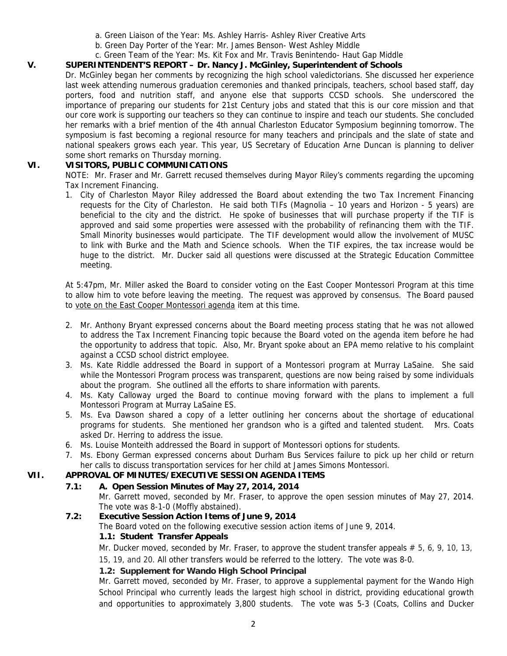- a. Green Liaison of the Year: Ms. Ashley Harris- Ashley River Creative Arts
- b. Green Day Porter of the Year: Mr. James Benson- West Ashley Middle
- c. Green Team of the Year: Ms. Kit Fox and Mr. Travis Benintendo- Haut Gap Middle

# **V. SUPERINTENDENT'S REPORT – Dr. Nancy J. McGinley, Superintendent of Schools**

Dr. McGinley began her comments by recognizing the high school valedictorians. She discussed her experience last week attending numerous graduation ceremonies and thanked principals, teachers, school based staff, day porters, food and nutrition staff, and anyone else that supports CCSD schools. She underscored the importance of preparing our students for 21st Century jobs and stated that this is our core mission and that our core work is supporting our teachers so they can continue to inspire and teach our students. She concluded her remarks with a brief mention of the 4th annual Charleston Educator Symposium beginning tomorrow. The symposium is fast becoming a regional resource for many teachers and principals and the slate of state and national speakers grows each year. This year, US Secretary of Education Arne Duncan is planning to deliver some short remarks on Thursday morning.

# **VI. VISITORS, PUBLIC COMMUNICATIONS**

NOTE: Mr. Fraser and Mr. Garrett recused themselves during Mayor Riley's comments regarding the upcoming Tax Increment Financing.

1. City of Charleston Mayor Riley addressed the Board about extending the two Tax Increment Financing requests for the City of Charleston. He said both TIFs (Magnolia – 10 years and Horizon - 5 years) are beneficial to the city and the district. He spoke of businesses that will purchase property if the TIF is approved and said some properties were assessed with the probability of refinancing them with the TIF. Small Minority businesses would participate. The TIF development would allow the involvement of MUSC to link with Burke and the Math and Science schools. When the TIF expires, the tax increase would be huge to the district. Mr. Ducker said all questions were discussed at the Strategic Education Committee meeting.

At 5:47pm, Mr. Miller asked the Board to consider voting on the East Cooper Montessori Program at this time to allow him to vote before leaving the meeting. The request was approved by consensus. The Board paused to vote on the East Cooper Montessori agenda item at this time.

- 2. Mr. Anthony Bryant expressed concerns about the Board meeting process stating that he was not allowed to address the Tax Increment Financing topic because the Board voted on the agenda item before he had the opportunity to address that topic. Also, Mr. Bryant spoke about an EPA memo relative to his complaint against a CCSD school district employee.
- 3. Ms. Kate Riddle addressed the Board in support of a Montessori program at Murray LaSaine. She said while the Montessori Program process was transparent, questions are now being raised by some individuals about the program. She outlined all the efforts to share information with parents.
- 4. Ms. Katy Calloway urged the Board to continue moving forward with the plans to implement a full Montessori Program at Murray LaSaine ES.
- 5. Ms. Eva Dawson shared a copy of a letter outlining her concerns about the shortage of educational programs for students. She mentioned her grandson who is a gifted and talented student. Mrs. Coats asked Dr. Herring to address the issue.
- 6. Ms. Louise Monteith addressed the Board in support of Montessori options for students.
- 7. Ms. Ebony German expressed concerns about Durham Bus Services failure to pick up her child or return her calls to discuss transportation services for her child at James Simons Montessori.

# **VII. APPROVAL OF MINUTES/EXECUTIVE SESSION AGENDA ITEMS**

# **7.1: A. Open Session Minutes of May 27, 2014, 2014**

Mr. Garrett moved, seconded by Mr. Fraser, to approve the open session minutes of May 27, 2014. The vote was 8-1-0 (Moffly abstained).

# **7.2: Executive Session Action Items of June 9, 2014**

The Board voted on the following executive session action items of June 9, 2014.

# **1.1: Student Transfer Appeals**

Mr. Ducker moved, seconded by Mr. Fraser, to approve the student transfer appeals  $# 5, 6, 9, 10, 13,$ 

15, 19, and 20. All other transfers would be referred to the lottery. The vote was 8-0.

# **1.2: Supplement for Wando High School Principal**

Mr. Garrett moved, seconded by Mr. Fraser, to approve a supplemental payment for the Wando High School Principal who currently leads the largest high school in district, providing educational growth and opportunities to approximately 3,800 students. The vote was 5-3 (Coats, Collins and Ducker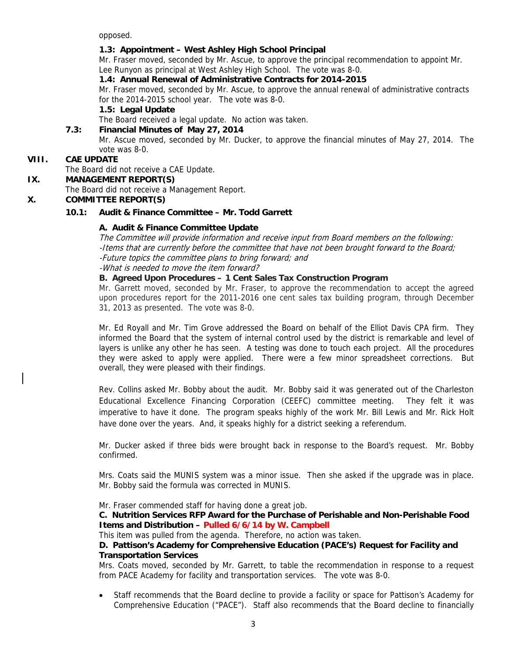opposed.

# **1.3: Appointment – West Ashley High School Principal**

Mr. Fraser moved, seconded by Mr. Ascue, to approve the principal recommendation to appoint Mr. Lee Runyon as principal at West Ashley High School. The vote was 8-0.

# **1.4: Annual Renewal of Administrative Contracts for 2014-2015**

Mr. Fraser moved, seconded by Mr. Ascue, to approve the annual renewal of administrative contracts for the 2014-2015 school year.The vote was 8-0.

#### **1.5: Legal Update**

The Board received a legal update. No action was taken.

#### **7.3: Financial Minutes of May 27, 2014**

Mr. Ascue moved, seconded by Mr. Ducker, to approve the financial minutes of May 27, 2014. The vote was 8-0.

### **VIII. CAE UPDATE**

The Board did not receive a CAE Update.

#### **IX. MANAGEMENT REPORT(S)**

The Board did not receive a Management Report.

# **X. COMMITTEE REPORT(S)**

#### **10.1: Audit & Finance Committee – Mr. Todd Garrett**

#### **A. Audit & Finance Committee Update**

The Committee will provide information and receive input from Board members on the following: -Items that are currently before the committee that have not been brought forward to the Board; -Future topics the committee plans to bring forward; and -What is needed to move the item forward?

#### **B. Agreed Upon Procedures – 1 Cent Sales Tax Construction Program**

Mr. Garrett moved, seconded by Mr. Fraser, to approve the recommendation to accept the agreed upon procedures report for the 2011-2016 one cent sales tax building program, through December 31, 2013 as presented. The vote was 8-0.

Mr. Ed Royall and Mr. Tim Grove addressed the Board on behalf of the Elliot Davis CPA firm. They informed the Board that the system of internal control used by the district is remarkable and level of layers is unlike any other he has seen. A testing was done to touch each project. All the procedures they were asked to apply were applied. There were a few minor spreadsheet corrections. But overall, they were pleased with their findings.

Rev. Collins asked Mr. Bobby about the audit. Mr. Bobby said it was generated out of the Charleston Educational Excellence Financing Corporation (CEEFC) committee meeting. They felt it was imperative to have it done. The program speaks highly of the work Mr. Bill Lewis and Mr. Rick Holt have done over the years. And, it speaks highly for a district seeking a referendum.

Mr. Ducker asked if three bids were brought back in response to the Board's request. Mr. Bobby confirmed.

Mrs. Coats said the MUNIS system was a minor issue. Then she asked if the upgrade was in place. Mr. Bobby said the formula was corrected in MUNIS.

Mr. Fraser commended staff for having done a great job.

#### **C. Nutrition Services RFP Award for the Purchase of Perishable and Non-Perishable Food Items and Distribution – Pulled 6/6/14 by W. Campbell**

This item was pulled from the agenda. Therefore, no action was taken.

#### **D. Pattison's Academy for Comprehensive Education (PACE's) Request for Facility and Transportation Services**

Mrs. Coats moved, seconded by Mr. Garrett, to table the recommendation in response to a request from PACE Academy for facility and transportation services. The vote was 8-0.

• Staff recommends that the Board decline to provide a facility or space for Pattison's Academy for Comprehensive Education ("PACE"). Staff also recommends that the Board decline to financially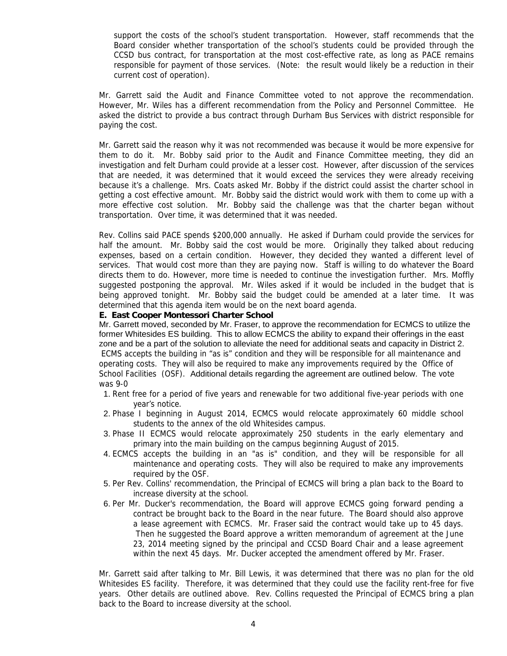support the costs of the school's student transportation. However, staff recommends that the Board consider whether transportation of the school's students could be provided through the CCSD bus contract, for transportation at the most cost-effective rate, as long as PACE remains responsible for payment of those services. (Note: the result would likely be a reduction in their current cost of operation).

Mr. Garrett said the Audit and Finance Committee voted to not approve the recommendation. However, Mr. Wiles has a different recommendation from the Policy and Personnel Committee. He asked the district to provide a bus contract through Durham Bus Services with district responsible for paying the cost.

Mr. Garrett said the reason why it was not recommended was because it would be more expensive for them to do it. Mr. Bobby said prior to the Audit and Finance Committee meeting, they did an investigation and felt Durham could provide at a lesser cost. However, after discussion of the services that are needed, it was determined that it would exceed the services they were already receiving because it's a challenge. Mrs. Coats asked Mr. Bobby if the district could assist the charter school in getting a cost effective amount. Mr. Bobby said the district would work with them to come up with a more effective cost solution. Mr. Bobby said the challenge was that the charter began without transportation. Over time, it was determined that it was needed.

Rev. Collins said PACE spends \$200,000 annually. He asked if Durham could provide the services for half the amount. Mr. Bobby said the cost would be more. Originally they talked about reducing expenses, based on a certain condition. However, they decided they wanted a different level of services. That would cost more than they are paying now. Staff is willing to do whatever the Board directs them to do. However, more time is needed to continue the investigation further. Mrs. Moffly suggested postponing the approval. Mr. Wiles asked if it would be included in the budget that is being approved tonight. Mr. Bobby said the budget could be amended at a later time. It was determined that this agenda item would be on the next board agenda.

#### **E. East Cooper Montessori Charter School**

Mr. Garrett moved, seconded by Mr. Fraser, to approve the recommendation for ECMCS to utilize the former Whitesides ES building. This to allow ECMCS the ability to expand their offerings in the east zone and be a part of the solution to alleviate the need for additional seats and capacity in District 2. ECMS accepts the building in "as is" condition and they will be responsible for all maintenance and operating costs. They will also be required to make any improvements required by the Office of School Facilities (OSF). Additional details regarding the agreement are outlined below. The vote was 9-0

- 1. Rent free for a period of five years and renewable for two additional five-year periods with one year's notice.
- 2. Phase I beginning in August 2014, ECMCS would relocate approximately 60 middle school students to the annex of the old Whitesides campus.
- 3. Phase II ECMCS would relocate approximately 250 students in the early elementary and primary into the main building on the campus beginning August of 2015.
- 4. ECMCS accepts the building in an "as is" condition, and they will be responsible for all maintenance and operating costs. They will also be required to make any improvements required by the OSF.
- 5. Per Rev. Collins' recommendation, the Principal of ECMCS will bring a plan back to the Board to increase diversity at the school.
- 6. Per Mr. Ducker's recommendation, the Board will approve ECMCS going forward pending a contract be brought back to the Board in the near future. The Board should also approve a lease agreement with ECMCS. Mr. Fraser said the contract would take up to 45 days. Then he suggested the Board approve a written memorandum of agreement at the June 23, 2014 meeting signed by the principal and CCSD Board Chair and a lease agreement within the next 45 days. Mr. Ducker accepted the amendment offered by Mr. Fraser.

Mr. Garrett said after talking to Mr. Bill Lewis, it was determined that there was no plan for the old Whitesides ES facility. Therefore, it was determined that they could use the facility rent-free for five years. Other details are outlined above. Rev. Collins requested the Principal of ECMCS bring a plan back to the Board to increase diversity at the school.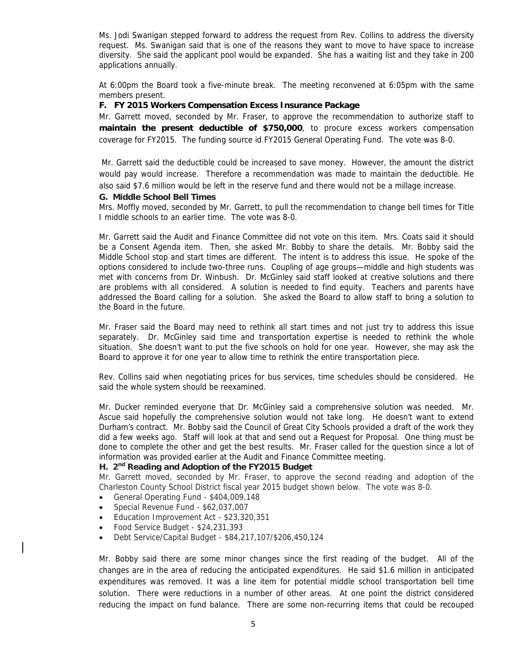Ms. Jodi Swanigan stepped forward to address the request from Rev. Collins to address the diversity request. Ms. Swanigan said that is one of the reasons they want to move to have space to increase diversity. She said the applicant pool would be expanded. She has a waiting list and they take in 200 applications annually.

At 6:00pm the Board took a five-minute break. The meeting reconvened at 6:05pm with the same members present.

#### **F. FY 2015 Workers Compensation Excess Insurance Package**

Mr. Garrett moved, seconded by Mr. Fraser, to approve the recommendation to authorize staff to **maintain the present deductible of \$750,000**, to procure excess workers compensation coverage for FY2015. The funding source id FY2015 General Operating Fund. The vote was 8-0.

 Mr. Garrett said the deductible could be increased to save money. However, the amount the district would pay would increase. Therefore a recommendation was made to maintain the deductible. He also said \$7.6 million would be left in the reserve fund and there would not be a millage increase.

#### **G. Middle School Bell Times**

Mrs. Moffly moved, seconded by Mr. Garrett, to pull the recommendation to change bell times for Title I middle schools to an earlier time. The vote was 8-0.

Mr. Garrett said the Audit and Finance Committee did not vote on this item. Mrs. Coats said it should be a Consent Agenda item. Then, she asked Mr. Bobby to share the details. Mr. Bobby said the Middle School stop and start times are different. The intent is to address this issue. He spoke of the options considered to include two-three runs. Coupling of age groups—middle and high students was met with concerns from Dr. Winbush. Dr. McGinley said staff looked at creative solutions and there are problems with all considered. A solution is needed to find equity. Teachers and parents have addressed the Board calling for a solution. She asked the Board to allow staff to bring a solution to the Board in the future.

Mr. Fraser said the Board may need to rethink all start times and not just try to address this issue separately. Dr. McGinley said time and transportation expertise is needed to rethink the whole situation. She doesn't want to put the five schools on hold for one year. However, she may ask the Board to approve it for one year to allow time to rethink the entire transportation piece.

Rev. Collins said when negotiating prices for bus services, time schedules should be considered. He said the whole system should be reexamined.

Mr. Ducker reminded everyone that Dr. McGinley said a comprehensive solution was needed. Mr. Ascue said hopefully the comprehensive solution would not take long. He doesn't want to extend Durham's contract. Mr. Bobby said the Council of Great City Schools provided a draft of the work they did a few weeks ago. Staff will look at that and send out a Request for Proposal. One thing must be done to complete the other and get the best results. Mr. Fraser called for the question since a lot of information was provided earlier at the Audit and Finance Committee meeting.

#### **H. 2nd Reading and Adoption of the FY2015 Budget**

Mr. Garrett moved, seconded by Mr. Fraser, to approve the second reading and adoption of the Charleston County School District fiscal year 2015 budget shown below. The vote was 8-0.

- General Operating Fund \$404,009,148
- Special Revenue Fund \$62,037,007
- Education Improvement Act \$23,320,351
- Food Service Budget \$24,231,393
- Debt Service/Capital Budget \$84,217,107/\$206,450,124

Mr. Bobby said there are some minor changes since the first reading of the budget. All of the changes are in the area of reducing the anticipated expenditures. He said \$1.6 million in anticipated expenditures was removed. It was a line item for potential middle school transportation bell time solution. There were reductions in a number of other areas. At one point the district considered reducing the impact on fund balance. There are some non-recurring items that could be recouped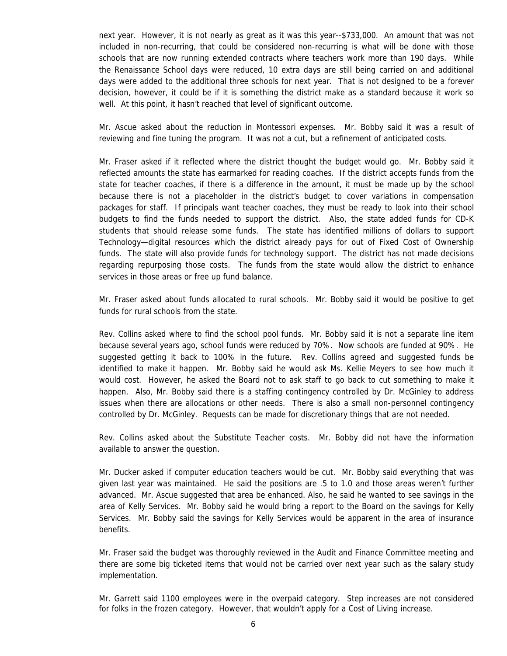next year. However, it is not nearly as great as it was this year--\$733,000. An amount that was not included in non-recurring, that could be considered non-recurring is what will be done with those schools that are now running extended contracts where teachers work more than 190 days. While the Renaissance School days were reduced, 10 extra days are still being carried on and additional days were added to the additional three schools for next year. That is not designed to be a forever decision, however, it could be if it is something the district make as a standard because it work so well. At this point, it hasn't reached that level of significant outcome.

Mr. Ascue asked about the reduction in Montessori expenses. Mr. Bobby said it was a result of reviewing and fine tuning the program. It was not a cut, but a refinement of anticipated costs.

Mr. Fraser asked if it reflected where the district thought the budget would go. Mr. Bobby said it reflected amounts the state has earmarked for reading coaches. If the district accepts funds from the state for teacher coaches, if there is a difference in the amount, it must be made up by the school because there is not a placeholder in the district's budget to cover variations in compensation packages for staff. If principals want teacher coaches, they must be ready to look into their school budgets to find the funds needed to support the district. Also, the state added funds for CD-K students that should release some funds. The state has identified millions of dollars to support Technology—digital resources which the district already pays for out of Fixed Cost of Ownership funds. The state will also provide funds for technology support. The district has not made decisions regarding repurposing those costs. The funds from the state would allow the district to enhance services in those areas or free up fund balance.

Mr. Fraser asked about funds allocated to rural schools. Mr. Bobby said it would be positive to get funds for rural schools from the state.

Rev. Collins asked where to find the school pool funds. Mr. Bobby said it is not a separate line item because several years ago, school funds were reduced by 70%. Now schools are funded at 90%. He suggested getting it back to 100% in the future. Rev. Collins agreed and suggested funds be identified to make it happen. Mr. Bobby said he would ask Ms. Kellie Meyers to see how much it would cost. However, he asked the Board not to ask staff to go back to cut something to make it happen. Also, Mr. Bobby said there is a staffing contingency controlled by Dr. McGinley to address issues when there are allocations or other needs. There is also a small non-personnel contingency controlled by Dr. McGinley. Requests can be made for discretionary things that are not needed.

Rev. Collins asked about the Substitute Teacher costs. Mr. Bobby did not have the information available to answer the question.

Mr. Ducker asked if computer education teachers would be cut. Mr. Bobby said everything that was given last year was maintained. He said the positions are .5 to 1.0 and those areas weren't further advanced. Mr. Ascue suggested that area be enhanced. Also, he said he wanted to see savings in the area of Kelly Services. Mr. Bobby said he would bring a report to the Board on the savings for Kelly Services. Mr. Bobby said the savings for Kelly Services would be apparent in the area of insurance benefits.

Mr. Fraser said the budget was thoroughly reviewed in the Audit and Finance Committee meeting and there are some big ticketed items that would not be carried over next year such as the salary study implementation.

Mr. Garrett said 1100 employees were in the overpaid category. Step increases are not considered for folks in the frozen category. However, that wouldn't apply for a Cost of Living increase.